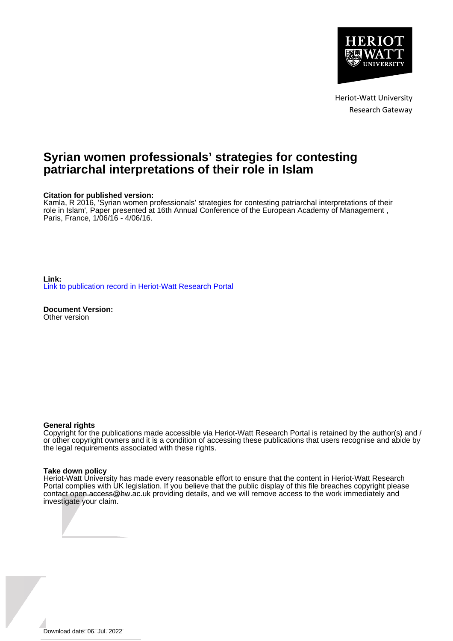

Heriot-Watt University Research Gateway

# **Syrian women professionals' strategies for contesting patriarchal interpretations of their role in Islam**

#### **Citation for published version:**

Kamla, R 2016, 'Syrian women professionals' strategies for contesting patriarchal interpretations of their role in Islam', Paper presented at 16th Annual Conference of the European Academy of Management , Paris, France, 1/06/16 - 4/06/16.

**Link:** [Link to publication record in Heriot-Watt Research Portal](https://researchportal.hw.ac.uk/en/publications/719a5575-b358-488b-be30-fcc02ed221b1)

**Document Version:** Other version

#### **General rights**

Copyright for the publications made accessible via Heriot-Watt Research Portal is retained by the author(s) and / or other copyright owners and it is a condition of accessing these publications that users recognise and abide by the legal requirements associated with these rights.

#### **Take down policy**

Heriot-Watt University has made every reasonable effort to ensure that the content in Heriot-Watt Research Portal complies with UK legislation. If you believe that the public display of this file breaches copyright please contact open.access@hw.ac.uk providing details, and we will remove access to the work immediately and investigate your claim.

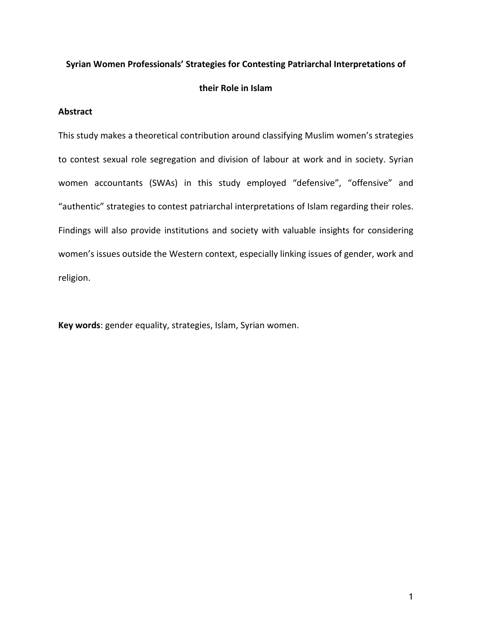### **Syrian Women Professionals' Strategies for Contesting Patriarchal Interpretations of**

### **their Role in Islam**

### **Abstract**

This study makes a theoretical contribution around classifying Muslim women's strategies to contest sexual role segregation and division of labour at work and in society. Syrian women accountants (SWAs) in this study employed "defensive", "offensive" and "authentic" strategies to contest patriarchal interpretations of Islam regarding their roles. Findings will also provide institutions and society with valuable insights for considering women's issues outside the Western context, especially linking issues of gender, work and religion.

**Key words**: gender equality, strategies, Islam, Syrian women.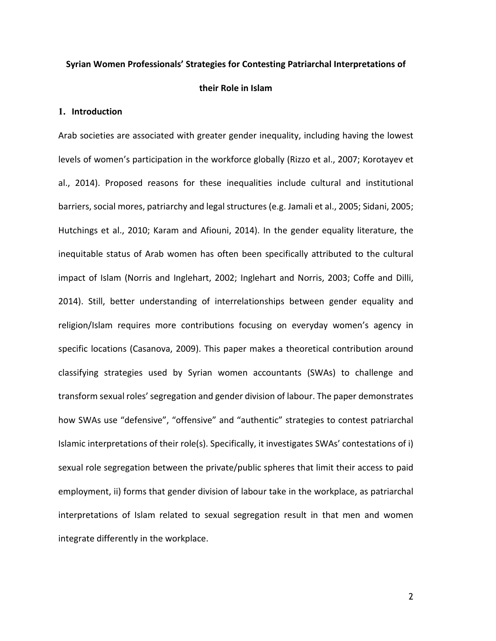#### **Syrian Women Professionals' Strategies for Contesting Patriarchal Interpretations of**

#### **their Role in Islam**

### **1. Introduction**

Arab societies are associated with greater gender inequality, including having the lowest levels of women's participation in the workforce globally (Rizzo et al., 2007; Korotayev et al., 2014). Proposed reasons for these inequalities include cultural and institutional barriers, social mores, patriarchy and legal structures (e.g. Jamali et al., 2005; Sidani, 2005; Hutchings et al., 2010; Karam and Afiouni, 2014). In the gender equality literature, the inequitable status of Arab women has often been specifically attributed to the cultural impact of Islam (Norris and Inglehart, 2002; Inglehart and Norris, 2003; Coffe and Dilli, 2014). Still, better understanding of interrelationships between gender equality and religion/Islam requires more contributions focusing on everyday women's agency in specific locations (Casanova, 2009). This paper makes a theoretical contribution around classifying strategies used by Syrian women accountants (SWAs) to challenge and transform sexual roles'segregation and gender division of labour. The paper demonstrates how SWAs use "defensive", "offensive" and "authentic" strategies to contest patriarchal Islamic interpretations of their role(s). Specifically, it investigates SWAs' contestations of i) sexual role segregation between the private/public spheres that limit their access to paid employment, ii) forms that gender division of labour take in the workplace, as patriarchal interpretations of Islam related to sexual segregation result in that men and women integrate differently in the workplace.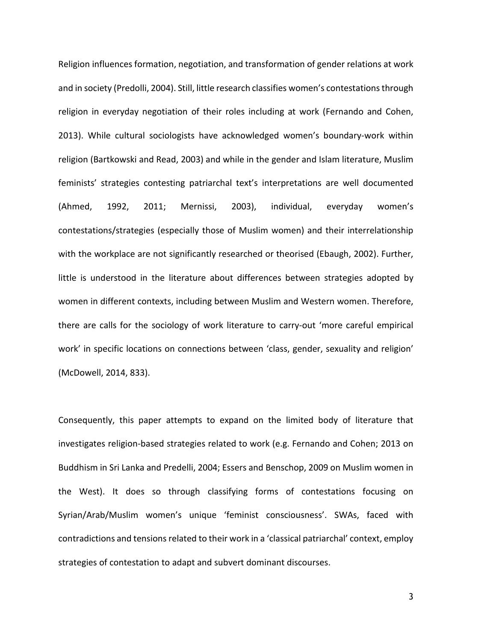Religion influences formation, negotiation, and transformation of gender relations at work and in society (Predolli, 2004). Still, little research classifies women's contestationsthrough religion in everyday negotiation of their roles including at work (Fernando and Cohen, 2013). While cultural sociologists have acknowledged women's boundary-work within religion (Bartkowski and Read, 2003) and while in the gender and Islam literature, Muslim feminists' strategies contesting patriarchal text's interpretations are well documented (Ahmed, 1992, 2011; Mernissi, 2003), individual, everyday women's contestations/strategies (especially those of Muslim women) and their interrelationship with the workplace are not significantly researched or theorised (Ebaugh, 2002). Further, little is understood in the literature about differences between strategies adopted by women in different contexts, including between Muslim and Western women. Therefore, there are calls for the sociology of work literature to carry-out 'more careful empirical work' in specific locations on connections between 'class, gender, sexuality and religion' (McDowell, 2014, 833).

Consequently, this paper attempts to expand on the limited body of literature that investigates religion-based strategies related to work (e.g. Fernando and Cohen; 2013 on Buddhism in Sri Lanka and Predelli, 2004; Essers and Benschop, 2009 on Muslim women in the West). It does so through classifying forms of contestations focusing on Syrian/Arab/Muslim women's unique 'feminist consciousness'. SWAs, faced with contradictions and tensions related to their work in a 'classical patriarchal' context, employ strategies of contestation to adapt and subvert dominant discourses.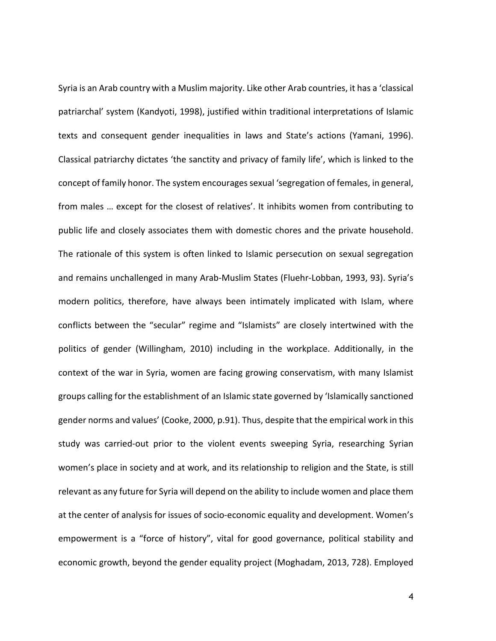Syria is an Arab country with a Muslim majority. Like other Arab countries, it has a 'classical patriarchal' system (Kandyoti, 1998), justified within traditional interpretations of Islamic texts and consequent gender inequalities in laws and State's actions (Yamani, 1996). Classical patriarchy dictates 'the sanctity and privacy of family life', which is linked to the concept of family honor. The system encourages sexual 'segregation of females, in general, from males … except for the closest of relatives'. It inhibits women from contributing to public life and closely associates them with domestic chores and the private household. The rationale of this system is often linked to Islamic persecution on sexual segregation and remains unchallenged in many Arab-Muslim States (Fluehr-Lobban, 1993, 93). Syria's modern politics, therefore, have always been intimately implicated with Islam, where conflicts between the "secular" regime and "Islamists" are closely intertwined with the politics of gender (Willingham, 2010) including in the workplace. Additionally, in the context of the war in Syria, women are facing growing conservatism, with many Islamist groups calling for the establishment of an Islamic state governed by 'Islamically sanctioned gender norms and values' (Cooke, 2000, p.91). Thus, despite that the empirical work in this study was carried-out prior to the violent events sweeping Syria, researching Syrian women's place in society and at work, and its relationship to religion and the State, is still relevant as any future for Syria will depend on the ability to include women and place them at the center of analysis for issues of socio-economic equality and development. Women's empowerment is a "force of history", vital for good governance, political stability and economic growth, beyond the gender equality project (Moghadam, 2013, 728). Employed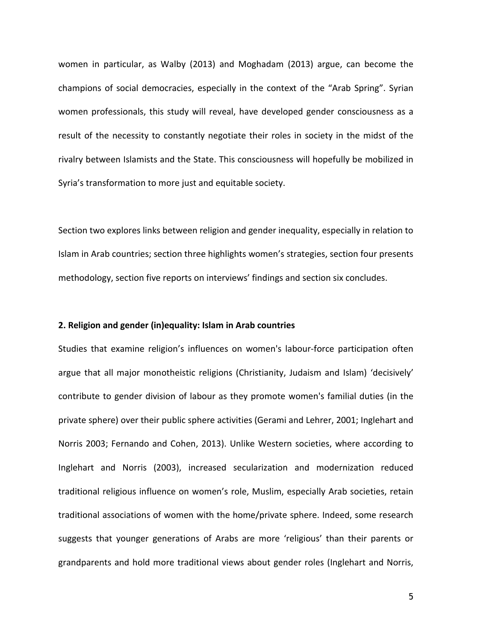women in particular, as Walby (2013) and Moghadam (2013) argue, can become the champions of social democracies, especially in the context of the "Arab Spring". Syrian women professionals, this study will reveal, have developed gender consciousness as a result of the necessity to constantly negotiate their roles in society in the midst of the rivalry between Islamists and the State. This consciousness will hopefully be mobilized in Syria's transformation to more just and equitable society.

Section two explores links between religion and gender inequality, especially in relation to Islam in Arab countries; section three highlights women's strategies, section four presents methodology, section five reports on interviews' findings and section six concludes.

### **2. Religion and gender (in)equality: Islam in Arab countries**

Studies that examine religion's influences on women's labour-force participation often argue that all major monotheistic religions (Christianity, Judaism and Islam) 'decisively' contribute to gender division of labour as they promote women's familial duties (in the private sphere) over their public sphere activities (Gerami and Lehrer, 2001; Inglehart and Norris 2003; Fernando and Cohen, 2013). Unlike Western societies, where according to Inglehart and Norris (2003), increased secularization and modernization reduced traditional religious influence on women's role, Muslim, especially Arab societies, retain traditional associations of women with the home/private sphere. Indeed, some research suggests that younger generations of Arabs are more 'religious' than their parents or grandparents and hold more traditional views about gender roles (Inglehart and Norris,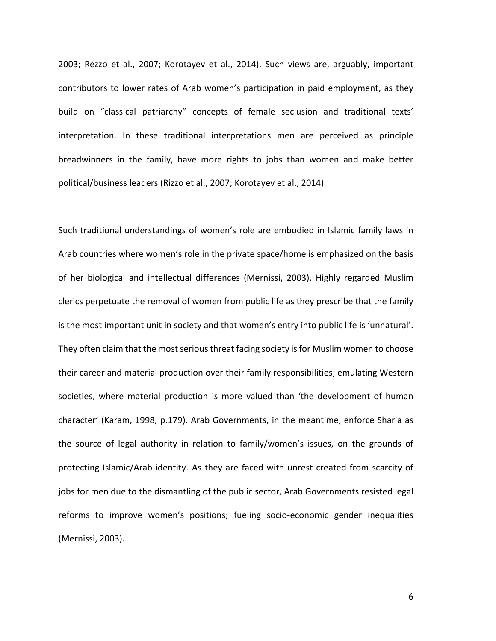2003; Rezzo et al., 2007; Korotayev et al., 2014). Such views are, arguably, important contributors to lower rates of Arab women's participation in paid employment, as they build on "classical patriarchy" concepts of female seclusion and traditional texts' interpretation. In these traditional interpretations men are perceived as principle breadwinners in the family, have more rights to jobs than women and make better political/business leaders (Rizzo et al., 2007; Korotayev et al., 2014).

Such traditional understandings of women's role are embodied in Islamic family laws in Arab countries where women's role in the private space/home is emphasized on the basis of her biological and intellectual differences (Mernissi, 2003). Highly regarded Muslim clerics perpetuate the removal of women from public life as they prescribe that the family is the most important unit in society and that women's entry into public life is 'unnatural'. They often claim that the most serious threat facing society is for Muslim women to choose their career and material production over their family responsibilities; emulating Western societies, where material production is more valued than 'the development of human character' (Karam, 1998, p.179). Arab Governments, in the meantime, enforce Sharia as the source of legal authority in relation to family/women's issues, on the grounds of protecting Islamic/Arab identity.<sup>i</sup> As they are faced with unrest created from scarcity of jobs for men due to the dismantling of the public sector, Arab Governments resisted legal reforms to improve women's positions; fueling socio-economic gender inequalities (Mernissi, 2003).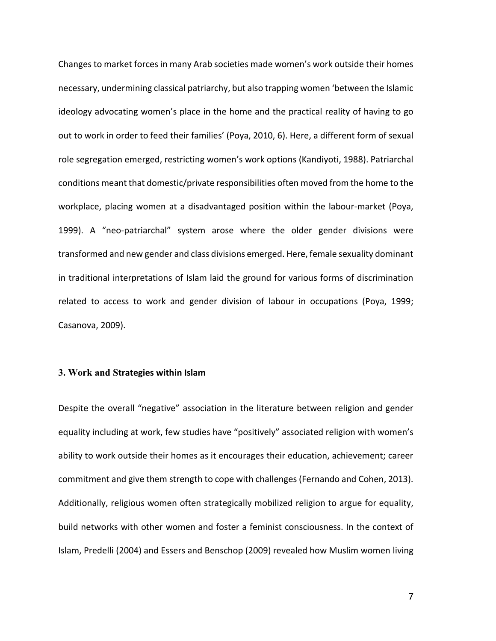Changes to market forces in many Arab societies made women's work outside their homes necessary, undermining classical patriarchy, but also trapping women 'between the Islamic ideology advocating women's place in the home and the practical reality of having to go out to work in order to feed their families' (Poya, 2010, 6). Here, a different form of sexual role segregation emerged, restricting women's work options (Kandiyoti, 1988). Patriarchal conditions meant that domestic/private responsibilities often moved from the home to the workplace, placing women at a disadvantaged position within the labour-market (Poya, 1999). A "neo-patriarchal" system arose where the older gender divisions were transformed and new gender and class divisions emerged. Here, female sexuality dominant in traditional interpretations of Islam laid the ground for various forms of discrimination related to access to work and gender division of labour in occupations (Poya, 1999; Casanova, 2009).

#### **3. Work and Strategies within Islam**

Despite the overall "negative" association in the literature between religion and gender equality including at work, few studies have "positively" associated religion with women's ability to work outside their homes as it encourages their education, achievement; career commitment and give them strength to cope with challenges (Fernando and Cohen, 2013). Additionally, religious women often strategically mobilized religion to argue for equality, build networks with other women and foster a feminist consciousness. In the context of Islam, Predelli (2004) and Essers and Benschop (2009) revealed how Muslim women living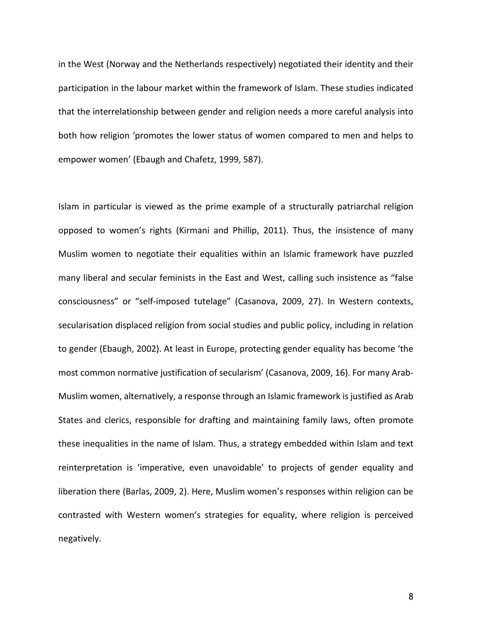in the West (Norway and the Netherlands respectively) negotiated their identity and their participation in the labour market within the framework of Islam. These studies indicated that the interrelationship between gender and religion needs a more careful analysis into both how religion 'promotes the lower status of women compared to men and helps to empower women' (Ebaugh and Chafetz, 1999, 587).

Islam in particular is viewed as the prime example of a structurally patriarchal religion opposed to women's rights (Kirmani and Phillip, 2011). Thus, the insistence of many Muslim women to negotiate their equalities within an Islamic framework have puzzled many liberal and secular feminists in the East and West, calling such insistence as "false consciousness" or "self-imposed tutelage" (Casanova, 2009, 27). In Western contexts, secularisation displaced religion from social studies and public policy, including in relation to gender (Ebaugh, 2002). At least in Europe, protecting gender equality has become 'the most common normative justification of secularism' (Casanova, 2009, 16). For many Arab-Muslim women, alternatively, a response through an Islamic framework is justified as Arab States and clerics, responsible for drafting and maintaining family laws, often promote these inequalities in the name of Islam. Thus, a strategy embedded within Islam and text reinterpretation is 'imperative, even unavoidable' to projects of gender equality and liberation there (Barlas, 2009, 2). Here, Muslim women's responses within religion can be contrasted with Western women's strategies for equality, where religion is perceived negatively.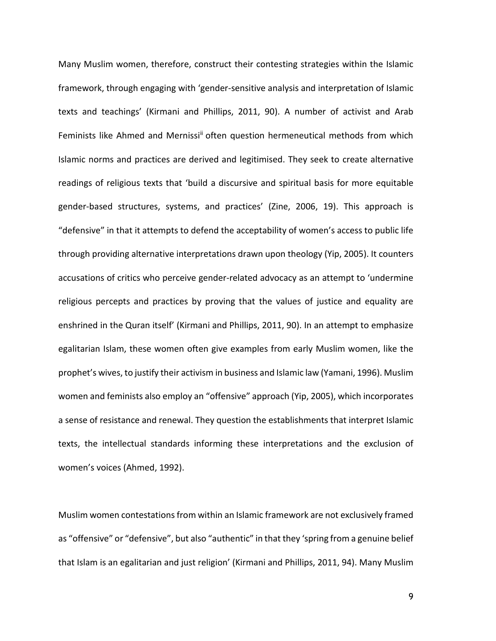Many Muslim women, therefore, construct their contesting strategies within the Islamic framework, through engaging with 'gender-sensitive analysis and interpretation of Islamic texts and teachings' (Kirmani and Phillips, 2011, 90). A number of activist and Arab Feminists like Ahmed and Mernissi<sup>ii</sup> often question hermeneutical methods from which Islamic norms and practices are derived and legitimised. They seek to create alternative readings of religious texts that 'build a discursive and spiritual basis for more equitable gender-based structures, systems, and practices' (Zine, 2006, 19). This approach is "defensive" in that it attempts to defend the acceptability of women's access to public life through providing alternative interpretations drawn upon theology (Yip, 2005). It counters accusations of critics who perceive gender-related advocacy as an attempt to 'undermine religious percepts and practices by proving that the values of justice and equality are enshrined in the Quran itself' (Kirmani and Phillips, 2011, 90). In an attempt to emphasize egalitarian Islam, these women often give examples from early Muslim women, like the prophet's wives, to justify their activism in business and Islamic law (Yamani, 1996). Muslim women and feminists also employ an "offensive" approach (Yip, 2005), which incorporates a sense of resistance and renewal. They question the establishments that interpret Islamic texts, the intellectual standards informing these interpretations and the exclusion of women's voices (Ahmed, 1992).

Muslim women contestationsfrom within an Islamic framework are not exclusively framed as "offensive" or "defensive", but also "authentic" in that they 'spring from a genuine belief that Islam is an egalitarian and just religion' (Kirmani and Phillips, 2011, 94). Many Muslim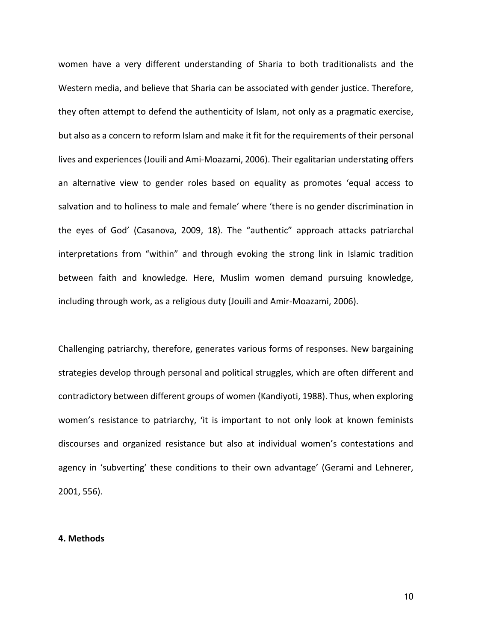women have a very different understanding of Sharia to both traditionalists and the Western media, and believe that Sharia can be associated with gender justice. Therefore, they often attempt to defend the authenticity of Islam, not only as a pragmatic exercise, but also as a concern to reform Islam and make it fit for the requirements of their personal lives and experiences (Jouili and Ami-Moazami, 2006). Their egalitarian understating offers an alternative view to gender roles based on equality as promotes 'equal access to salvation and to holiness to male and female' where 'there is no gender discrimination in the eyes of God' (Casanova, 2009, 18). The "authentic" approach attacks patriarchal interpretations from "within" and through evoking the strong link in Islamic tradition between faith and knowledge. Here, Muslim women demand pursuing knowledge, including through work, as a religious duty (Jouili and Amir-Moazami, 2006).

Challenging patriarchy, therefore, generates various forms of responses. New bargaining strategies develop through personal and political struggles, which are often different and contradictory between different groups of women (Kandiyoti, 1988). Thus, when exploring women's resistance to patriarchy, 'it is important to not only look at known feminists discourses and organized resistance but also at individual women's contestations and agency in 'subverting' these conditions to their own advantage' (Gerami and Lehnerer, 2001, 556).

### **4. Methods**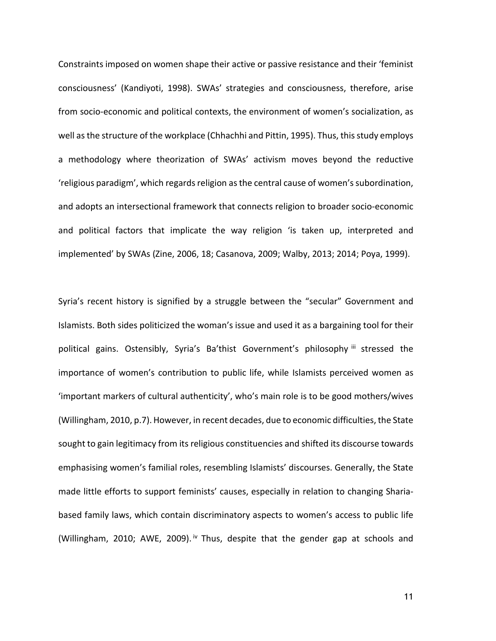Constraints imposed on women shape their active or passive resistance and their 'feminist consciousness' (Kandiyoti, 1998). SWAs' strategies and consciousness, therefore, arise from socio-economic and political contexts, the environment of women's socialization, as well as the structure of the workplace (Chhachhi and Pittin, 1995). Thus, this study employs a methodology where theorization of SWAs' activism moves beyond the reductive 'religious paradigm', which regards religion as the central cause of women's subordination, and adopts an intersectional framework that connects religion to broader socio-economic and political factors that implicate the way religion 'is taken up, interpreted and implemented' by SWAs (Zine, 2006, 18; Casanova, 2009; Walby, 2013; 2014; Poya, 1999).

Syria's recent history is signified by a struggle between the "secular" Government and Islamists. Both sides politicized the woman's issue and used it as a bargaining tool for their political gains. Ostensibly, Syria's Ba'thist Government's philosophy iii stressed the importance of women's contribution to public life, while Islamists perceived women as 'important markers of cultural authenticity', who's main role is to be good mothers/wives (Willingham, 2010, p.7). However, in recent decades, due to economic difficulties, the State sought to gain legitimacy from its religious constituencies and shifted its discourse towards emphasising women's familial roles, resembling Islamists' discourses. Generally, the State made little efforts to support feminists' causes, especially in relation to changing Shariabased family laws, which contain discriminatory aspects to women's access to public life (Willingham, 2010; AWE, 2009).<sup>iv</sup> Thus, despite that the gender gap at schools and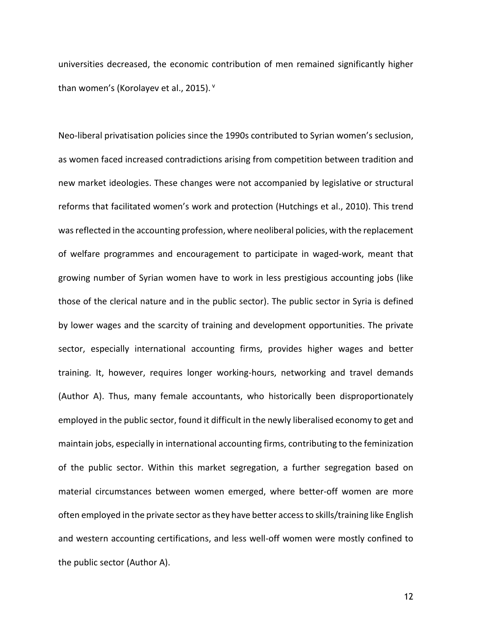universities decreased, the economic contribution of men remained significantly higher than women's (Korolayev et al., 2015).  $^{\text{v}}$ 

Neo-liberal privatisation policies since the 1990s contributed to Syrian women's seclusion, as women faced increased contradictions arising from competition between tradition and new market ideologies. These changes were not accompanied by legislative or structural reforms that facilitated women's work and protection (Hutchings et al., 2010). This trend was reflected in the accounting profession, where neoliberal policies, with the replacement of welfare programmes and encouragement to participate in waged-work, meant that growing number of Syrian women have to work in less prestigious accounting jobs (like those of the clerical nature and in the public sector). The public sector in Syria is defined by lower wages and the scarcity of training and development opportunities. The private sector, especially international accounting firms, provides higher wages and better training. It, however, requires longer working-hours, networking and travel demands (Author A). Thus, many female accountants, who historically been disproportionately employed in the public sector, found it difficult in the newly liberalised economy to get and maintain jobs, especially in international accounting firms, contributing to the feminization of the public sector. Within this market segregation, a further segregation based on material circumstances between women emerged, where better-off women are more often employed in the private sector asthey have better accessto skills/training like English and western accounting certifications, and less well-off women were mostly confined to the public sector (Author A).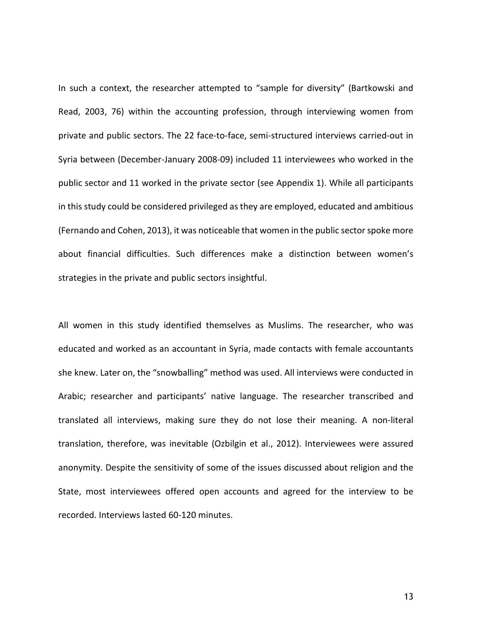In such a context, the researcher attempted to "sample for diversity" (Bartkowski and Read, 2003, 76) within the accounting profession, through interviewing women from private and public sectors. The 22 face-to-face, semi-structured interviews carried-out in Syria between (December-January 2008-09) included 11 interviewees who worked in the public sector and 11 worked in the private sector (see Appendix 1). While all participants in this study could be considered privileged as they are employed, educated and ambitious (Fernando and Cohen, 2013), it was noticeable that women in the public sector spoke more about financial difficulties. Such differences make a distinction between women's strategies in the private and public sectors insightful.

All women in this study identified themselves as Muslims. The researcher, who was educated and worked as an accountant in Syria, made contacts with female accountants she knew. Later on, the "snowballing" method was used. All interviews were conducted in Arabic; researcher and participants' native language. The researcher transcribed and translated all interviews, making sure they do not lose their meaning. A non-literal translation, therefore, was inevitable (Ozbilgin et al., 2012). Interviewees were assured anonymity. Despite the sensitivity of some of the issues discussed about religion and the State, most interviewees offered open accounts and agreed for the interview to be recorded. Interviews lasted 60-120 minutes.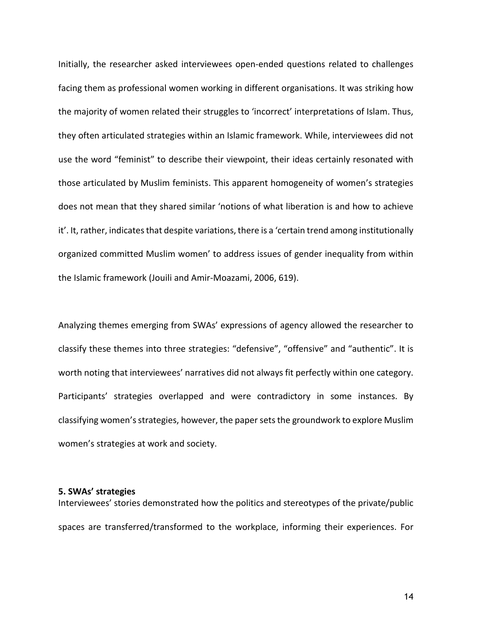Initially, the researcher asked interviewees open-ended questions related to challenges facing them as professional women working in different organisations. It was striking how the majority of women related their struggles to 'incorrect' interpretations of Islam. Thus, they often articulated strategies within an Islamic framework. While, interviewees did not use the word "feminist" to describe their viewpoint, their ideas certainly resonated with those articulated by Muslim feminists. This apparent homogeneity of women's strategies does not mean that they shared similar 'notions of what liberation is and how to achieve it'. It, rather, indicates that despite variations, there is a 'certain trend among institutionally organized committed Muslim women' to address issues of gender inequality from within the Islamic framework (Jouili and Amir-Moazami, 2006, 619).

Analyzing themes emerging from SWAs' expressions of agency allowed the researcher to classify these themes into three strategies: "defensive", "offensive" and "authentic". It is worth noting that interviewees' narratives did not always fit perfectly within one category. Participants' strategies overlapped and were contradictory in some instances. By classifying women'sstrategies, however, the papersetsthe groundwork to explore Muslim women's strategies at work and society.

### **5. SWAs' strategies**

Interviewees' stories demonstrated how the politics and stereotypes of the private/public spaces are transferred/transformed to the workplace, informing their experiences. For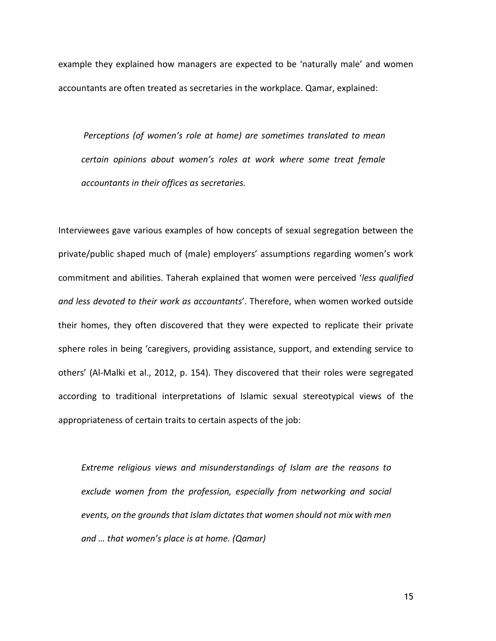example they explained how managers are expected to be 'naturally male' and women accountants are often treated as secretaries in the workplace. Qamar, explained:

*Perceptions (of women's role at home) are sometimes translated to mean certain opinions about women's roles at work where some treat female accountants in their offices as secretaries.*

Interviewees gave various examples of how concepts of sexual segregation between the private/public shaped much of (male) employers' assumptions regarding women's work commitment and abilities. Taherah explained that women were perceived '*less qualified and less devoted to their work as accountants*'. Therefore, when women worked outside their homes, they often discovered that they were expected to replicate their private sphere roles in being 'caregivers, providing assistance, support, and extending service to others' (Al-Malki et al., 2012, p. 154). They discovered that their roles were segregated according to traditional interpretations of Islamic sexual stereotypical views of the appropriateness of certain traits to certain aspects of the job:

*Extreme religious views and misunderstandings of Islam are the reasons to exclude women from the profession, especially from networking and social events, on the grounds that Islam dictatesthat women should not mix with men and … that women's place is at home. (Qamar)*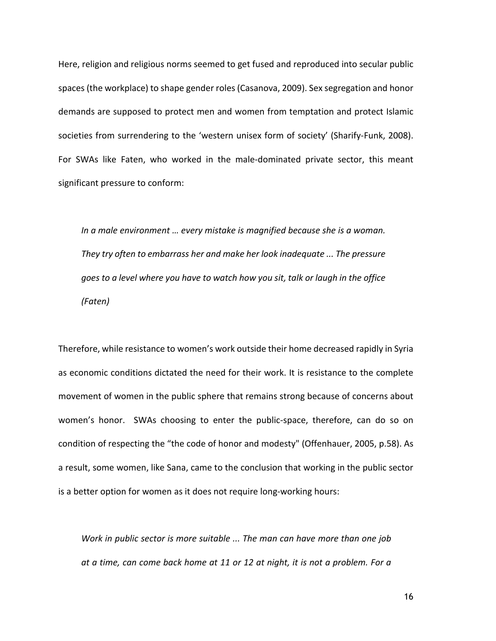Here, religion and religious norms seemed to get fused and reproduced into secular public spaces (the workplace) to shape gender roles(Casanova, 2009). Sex segregation and honor demands are supposed to protect men and women from temptation and protect Islamic societies from surrendering to the 'western unisex form of society' (Sharify-Funk, 2008). For SWAs like Faten, who worked in the male-dominated private sector, this meant significant pressure to conform:

*In a male environment … every mistake is magnified because she is a woman. They try often to embarrass her and make her look inadequate ... The pressure goes to a level where you have to watch how you sit, talk or laugh in the office (Faten)*

Therefore, while resistance to women's work outside their home decreased rapidly in Syria as economic conditions dictated the need for their work. It is resistance to the complete movement of women in the public sphere that remains strong because of concerns about women's honor. SWAs choosing to enter the public-space, therefore, can do so on condition of respecting the "the code of honor and modesty" (Offenhauer, 2005, p.58). As a result, some women, like Sana, came to the conclusion that working in the public sector is a better option for women as it does not require long-working hours:

*Work in public sector is more suitable ... The man can have more than one job at a time, can come back home at 11 or 12 at night, it is not a problem. For a*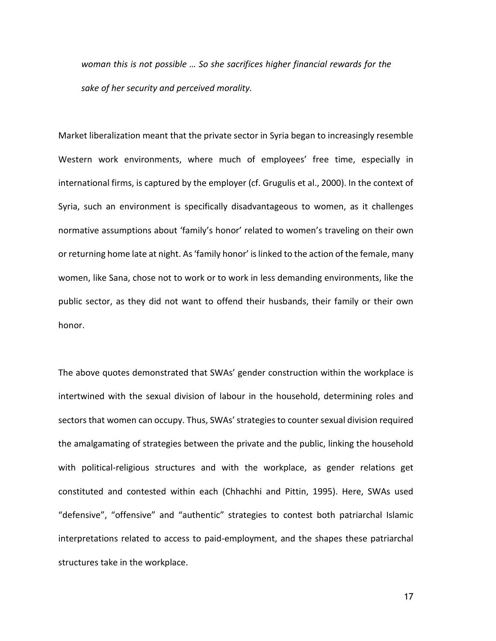*woman this is not possible … So she sacrifices higher financial rewards for the sake of her security and perceived morality.*

Market liberalization meant that the private sector in Syria began to increasingly resemble Western work environments, where much of employees' free time, especially in international firms, is captured by the employer (cf. Grugulis et al., 2000). In the context of Syria, such an environment is specifically disadvantageous to women, as it challenges normative assumptions about 'family's honor' related to women's traveling on their own or returning home late at night. As'family honor' islinked to the action of the female, many women, like Sana, chose not to work or to work in less demanding environments, like the public sector, as they did not want to offend their husbands, their family or their own honor.

The above quotes demonstrated that SWAs' gender construction within the workplace is intertwined with the sexual division of labour in the household, determining roles and sectors that women can occupy. Thus, SWAs' strategies to counter sexual division required the amalgamating of strategies between the private and the public, linking the household with political-religious structures and with the workplace, as gender relations get constituted and contested within each (Chhachhi and Pittin, 1995). Here, SWAs used "defensive", "offensive" and "authentic" strategies to contest both patriarchal Islamic interpretations related to access to paid-employment, and the shapes these patriarchal structures take in the workplace.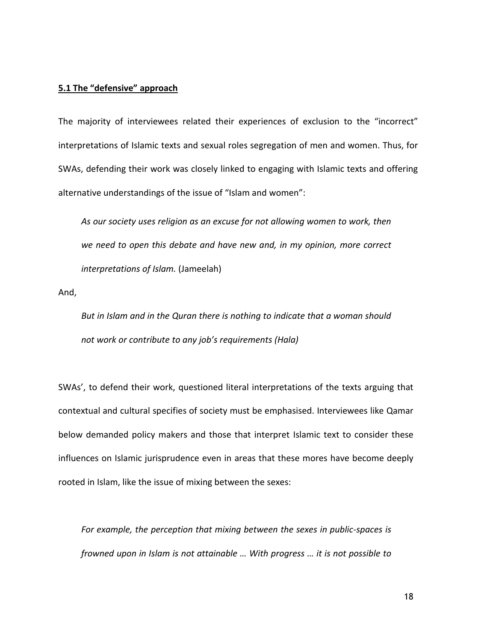#### **5.1 The "defensive" approach**

The majority of interviewees related their experiences of exclusion to the "incorrect" interpretations of Islamic texts and sexual roles segregation of men and women. Thus, for SWAs, defending their work was closely linked to engaging with Islamic texts and offering alternative understandings of the issue of "Islam and women":

*As our society uses religion as an excuse for not allowing women to work, then we need to open this debate and have new and, in my opinion, more correct interpretations of Islam.* (Jameelah)

And,

*But in Islam and in the Quran there is nothing to indicate that a woman should not work or contribute to any job's requirements (Hala)*

SWAs', to defend their work, questioned literal interpretations of the texts arguing that contextual and cultural specifies of society must be emphasised. Interviewees like Qamar below demanded policy makers and those that interpret Islamic text to consider these influences on Islamic jurisprudence even in areas that these mores have become deeply rooted in Islam, like the issue of mixing between the sexes:

*For example, the perception that mixing between the sexes in public-spaces is frowned upon in Islam is not attainable … With progress … it is not possible to*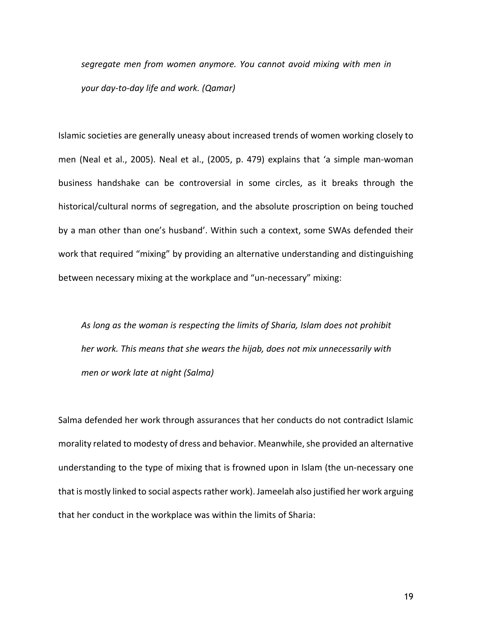*segregate men from women anymore. You cannot avoid mixing with men in your day-to-day life and work. (Qamar)*

Islamic societies are generally uneasy about increased trends of women working closely to men (Neal et al., 2005). Neal et al., (2005, p. 479) explains that 'a simple man-woman business handshake can be controversial in some circles, as it breaks through the historical/cultural norms of segregation, and the absolute proscription on being touched by a man other than one's husband'. Within such a context, some SWAs defended their work that required "mixing" by providing an alternative understanding and distinguishing between necessary mixing at the workplace and "un-necessary" mixing:

*As long as the woman is respecting the limits of Sharia, Islam does not prohibit her work. This means that she wears the hijab, does not mix unnecessarily with men or work late at night (Salma)*

Salma defended her work through assurances that her conducts do not contradict Islamic morality related to modesty of dress and behavior. Meanwhile, she provided an alternative understanding to the type of mixing that is frowned upon in Islam (the un-necessary one that is mostly linked to social aspectsrather work). Jameelah also justified her work arguing that her conduct in the workplace was within the limits of Sharia: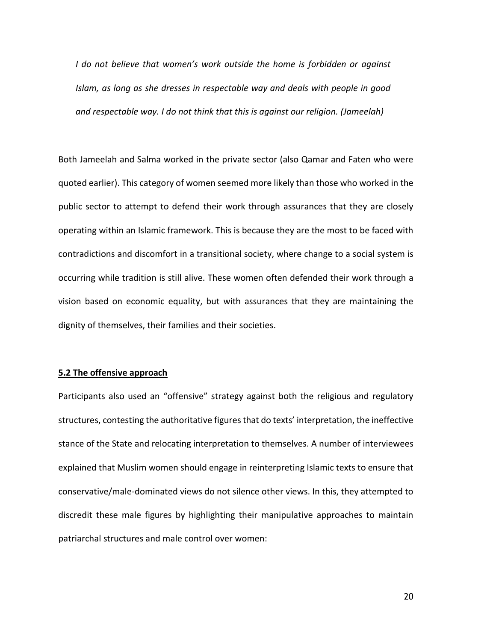*I do not believe that women's work outside the home is forbidden or against Islam, as long as she dresses in respectable way and deals with people in good and respectable way. I do not think that this is against our religion. (Jameelah)*

Both Jameelah and Salma worked in the private sector (also Qamar and Faten who were quoted earlier). This category of women seemed more likely than those who worked in the public sector to attempt to defend their work through assurances that they are closely operating within an Islamic framework. This is because they are the most to be faced with contradictions and discomfort in a transitional society, where change to a social system is occurring while tradition is still alive. These women often defended their work through a vision based on economic equality, but with assurances that they are maintaining the dignity of themselves, their families and their societies.

#### **5.2 The offensive approach**

Participants also used an "offensive" strategy against both the religious and regulatory structures, contesting the authoritative figures that do texts' interpretation, the ineffective stance of the State and relocating interpretation to themselves. A number of interviewees explained that Muslim women should engage in reinterpreting Islamic texts to ensure that conservative/male-dominated views do not silence other views. In this, they attempted to discredit these male figures by highlighting their manipulative approaches to maintain patriarchal structures and male control over women: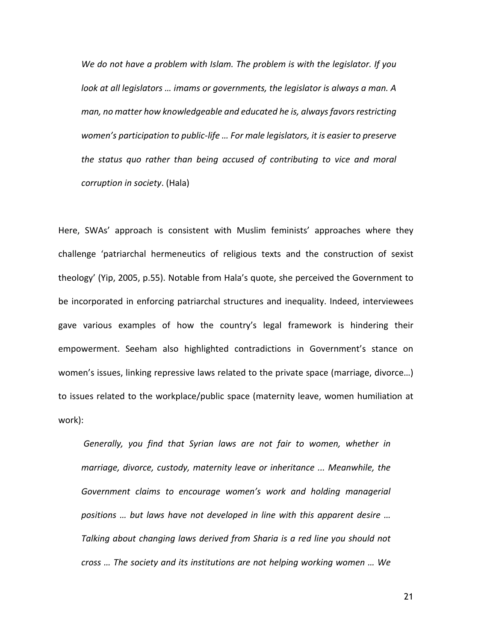*We do not have a problem with Islam. The problem is with the legislator. If you look at all legislators … imams or governments, the legislator is always a man. A man, no matter how knowledgeable and educated he is, alwaysfavorsrestricting women's participation to public-life … For male legislators, it is easier to preserve the status quo rather than being accused of contributing to vice and moral corruption in society*. (Hala)

Here, SWAs' approach is consistent with Muslim feminists' approaches where they challenge 'patriarchal hermeneutics of religious texts and the construction of sexist theology' (Yip, 2005, p.55). Notable from Hala's quote, she perceived the Government to be incorporated in enforcing patriarchal structures and inequality. Indeed, interviewees gave various examples of how the country's legal framework is hindering their empowerment. Seeham also highlighted contradictions in Government's stance on women's issues, linking repressive laws related to the private space (marriage, divorce…) to issues related to the workplace/public space (maternity leave, women humiliation at work):

*Generally, you find that Syrian laws are not fair to women, whether in marriage, divorce, custody, maternity leave or inheritance ... Meanwhile, the Government claims to encourage women's work and holding managerial positions … but laws have not developed in line with this apparent desire … Talking about changing laws derived from Sharia is a red line you should not cross … The society and its institutions are not helping working women … We*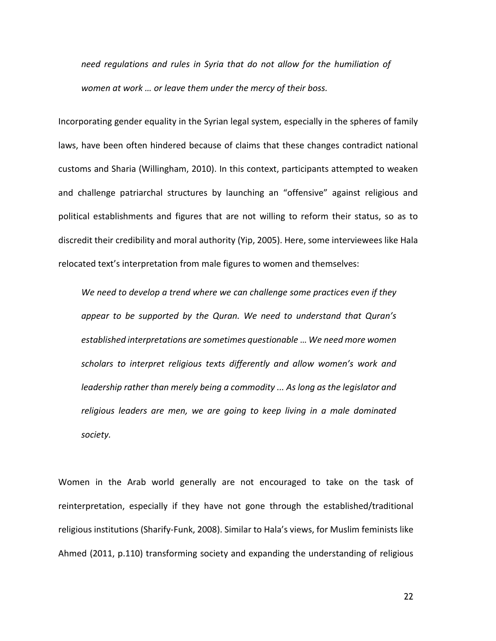*need regulations and rules in Syria that do not allow for the humiliation of women at work … or leave them under the mercy of their boss.*

Incorporating gender equality in the Syrian legal system, especially in the spheres of family laws, have been often hindered because of claims that these changes contradict national customs and Sharia (Willingham, 2010). In this context, participants attempted to weaken and challenge patriarchal structures by launching an "offensive" against religious and political establishments and figures that are not willing to reform their status, so as to discredit their credibility and moral authority (Yip, 2005). Here, some interviewees like Hala relocated text's interpretation from male figures to women and themselves:

*We need to develop a trend where we can challenge some practices even if they appear to be supported by the Quran. We need to understand that Quran's established interpretations are sometimes questionable* … *We need more women scholars to interpret religious texts differently and allow women's work and leadership rather than merely being a commodity ... As long as the legislator and religious leaders are men, we are going to keep living in a male dominated society.*

Women in the Arab world generally are not encouraged to take on the task of reinterpretation, especially if they have not gone through the established/traditional religious institutions (Sharify-Funk, 2008). Similar to Hala's views, for Muslim feminists like Ahmed (2011, p.110) transforming society and expanding the understanding of religious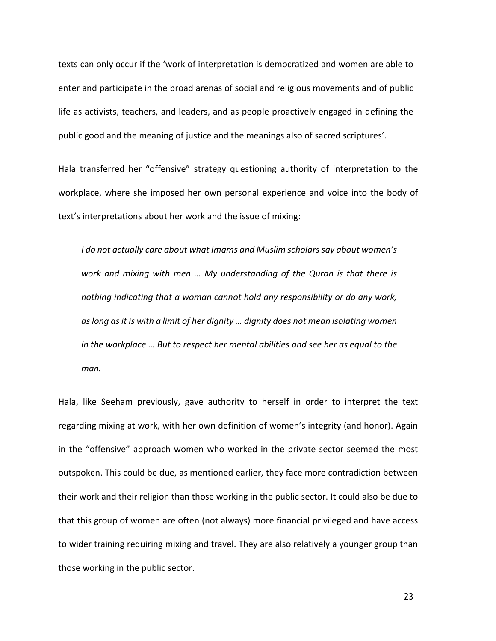texts can only occur if the 'work of interpretation is democratized and women are able to enter and participate in the broad arenas of social and religious movements and of public life as activists, teachers, and leaders, and as people proactively engaged in defining the public good and the meaning of justice and the meanings also of sacred scriptures'.

Hala transferred her "offensive" strategy questioning authority of interpretation to the workplace, where she imposed her own personal experience and voice into the body of text's interpretations about her work and the issue of mixing:

*I do not actually care about what Imams and Muslim scholarssay about women's work and mixing with men … My understanding of the Quran is that there is nothing indicating that a woman cannot hold any responsibility or do any work, aslong asit is with a limit of her dignity … dignity does not mean isolating women in the workplace … But to respect her mental abilities and see her as equal to the man.*

Hala, like Seeham previously, gave authority to herself in order to interpret the text regarding mixing at work, with her own definition of women's integrity (and honor). Again in the "offensive" approach women who worked in the private sector seemed the most outspoken. This could be due, as mentioned earlier, they face more contradiction between their work and their religion than those working in the public sector. It could also be due to that this group of women are often (not always) more financial privileged and have access to wider training requiring mixing and travel. They are also relatively a younger group than those working in the public sector.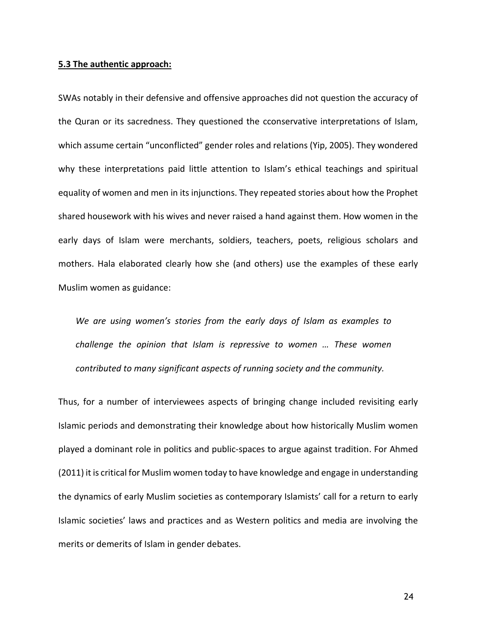#### **5.3 The authentic approach:**

SWAs notably in their defensive and offensive approaches did not question the accuracy of the Quran or its sacredness. They questioned the cconservative interpretations of Islam, which assume certain "unconflicted" gender roles and relations (Yip, 2005). They wondered why these interpretations paid little attention to Islam's ethical teachings and spiritual equality of women and men in its injunctions. They repeated stories about how the Prophet shared housework with his wives and never raised a hand against them. How women in the early days of Islam were merchants, soldiers, teachers, poets, religious scholars and mothers. Hala elaborated clearly how she (and others) use the examples of these early Muslim women as guidance:

*We are using women's stories from the early days of Islam as examples to challenge the opinion that Islam is repressive to women … These women contributed to many significant aspects of running society and the community.*

Thus, for a number of interviewees aspects of bringing change included revisiting early Islamic periods and demonstrating their knowledge about how historically Muslim women played a dominant role in politics and public-spaces to argue against tradition. For Ahmed (2011) it is critical for Muslim women today to have knowledge and engage in understanding the dynamics of early Muslim societies as contemporary Islamists' call for a return to early Islamic societies' laws and practices and as Western politics and media are involving the merits or demerits of Islam in gender debates.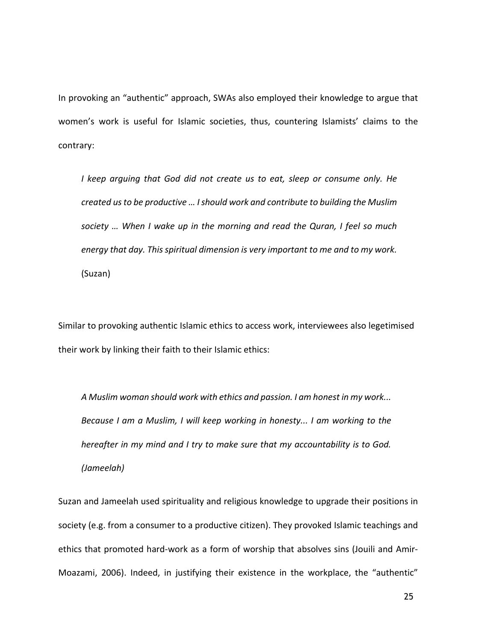In provoking an "authentic" approach, SWAs also employed their knowledge to argue that women's work is useful for Islamic societies, thus, countering Islamists' claims to the contrary:

*I keep arguing that God did not create us to eat, sleep or consume only. He created usto be productive … Ishould work and contribute to building the Muslim society … When I wake up in the morning and read the Quran, I feel so much energy that day. This spiritual dimension is very important to me and to my work.* (Suzan)

Similar to provoking authentic Islamic ethics to access work, interviewees also legetimised their work by linking their faith to their Islamic ethics:

*A Muslim woman should work with ethics and passion. I am honest in my work... Because I am a Muslim, I will keep working in honesty... I am working to the hereafter in my mind and I try to make sure that my accountability is to God. (Jameelah)*

Suzan and Jameelah used spirituality and religious knowledge to upgrade their positions in society (e.g. from a consumer to a productive citizen). They provoked Islamic teachings and ethics that promoted hard-work as a form of worship that absolves sins (Jouili and Amir-Moazami, 2006). Indeed, in justifying their existence in the workplace, the "authentic"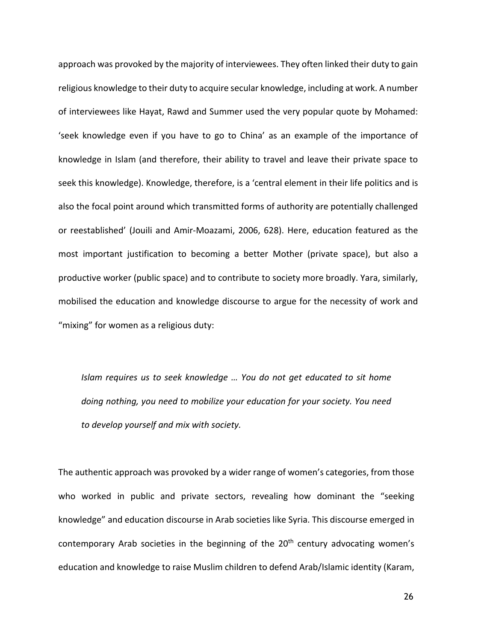approach was provoked by the majority of interviewees. They often linked their duty to gain religious knowledge to their duty to acquire secular knowledge, including at work. A number of interviewees like Hayat, Rawd and Summer used the very popular quote by Mohamed: 'seek knowledge even if you have to go to China' as an example of the importance of knowledge in Islam (and therefore, their ability to travel and leave their private space to seek this knowledge). Knowledge, therefore, is a 'central element in their life politics and is also the focal point around which transmitted forms of authority are potentially challenged or reestablished' (Jouili and Amir-Moazami, 2006, 628). Here, education featured as the most important justification to becoming a better Mother (private space), but also a productive worker (public space) and to contribute to society more broadly. Yara, similarly, mobilised the education and knowledge discourse to argue for the necessity of work and "mixing" for women as a religious duty:

*Islam requires us to seek knowledge … You do not get educated to sit home doing nothing, you need to mobilize your education for your society. You need to develop yourself and mix with society.*

The authentic approach was provoked by a wider range of women's categories, from those who worked in public and private sectors, revealing how dominant the "seeking knowledge" and education discourse in Arab societies like Syria. This discourse emerged in contemporary Arab societies in the beginning of the  $20<sup>th</sup>$  century advocating women's education and knowledge to raise Muslim children to defend Arab/Islamic identity (Karam,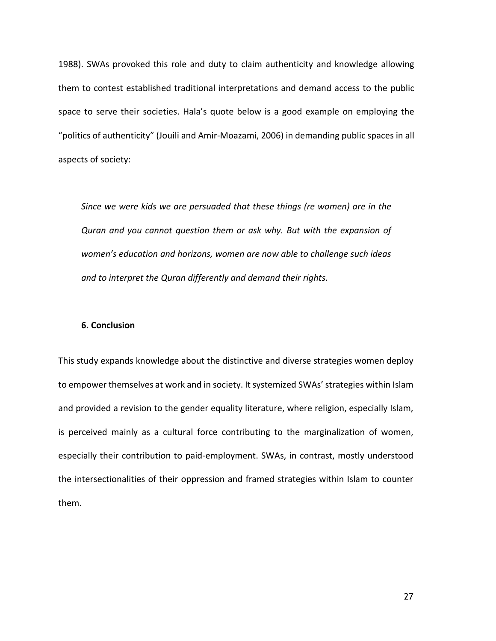1988). SWAs provoked this role and duty to claim authenticity and knowledge allowing them to contest established traditional interpretations and demand access to the public space to serve their societies. Hala's quote below is a good example on employing the "politics of authenticity" (Jouili and Amir-Moazami, 2006) in demanding public spaces in all aspects of society:

*Since we were kids we are persuaded that these things (re women) are in the Quran and you cannot question them or ask why. But with the expansion of women's education and horizons, women are now able to challenge such ideas and to interpret the Quran differently and demand their rights.*

### **6. Conclusion**

This study expands knowledge about the distinctive and diverse strategies women deploy to empower themselves at work and in society. It systemized SWAs' strategies within Islam and provided a revision to the gender equality literature, where religion, especially Islam, is perceived mainly as a cultural force contributing to the marginalization of women, especially their contribution to paid-employment. SWAs, in contrast, mostly understood the intersectionalities of their oppression and framed strategies within Islam to counter them.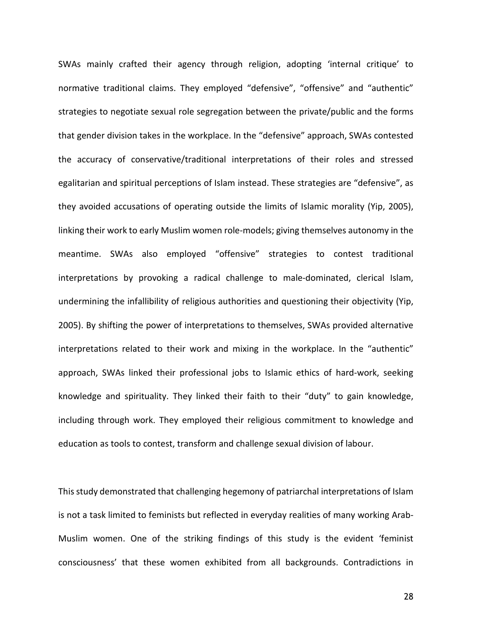SWAs mainly crafted their agency through religion, adopting 'internal critique' to normative traditional claims. They employed "defensive", "offensive" and "authentic" strategies to negotiate sexual role segregation between the private/public and the forms that gender division takes in the workplace. In the "defensive" approach, SWAs contested the accuracy of conservative/traditional interpretations of their roles and stressed egalitarian and spiritual perceptions of Islam instead. These strategies are "defensive", as they avoided accusations of operating outside the limits of Islamic morality (Yip, 2005), linking their work to early Muslim women role-models; giving themselves autonomy in the meantime. SWAs also employed "offensive" strategies to contest traditional interpretations by provoking a radical challenge to male-dominated, clerical Islam, undermining the infallibility of religious authorities and questioning their objectivity (Yip, 2005). By shifting the power of interpretations to themselves, SWAs provided alternative interpretations related to their work and mixing in the workplace. In the "authentic" approach, SWAs linked their professional jobs to Islamic ethics of hard-work, seeking knowledge and spirituality. They linked their faith to their "duty" to gain knowledge, including through work. They employed their religious commitment to knowledge and education as tools to contest, transform and challenge sexual division of labour.

This study demonstrated that challenging hegemony of patriarchal interpretations of Islam is not a task limited to feminists but reflected in everyday realities of many working Arab-Muslim women. One of the striking findings of this study is the evident 'feminist consciousness' that these women exhibited from all backgrounds. Contradictions in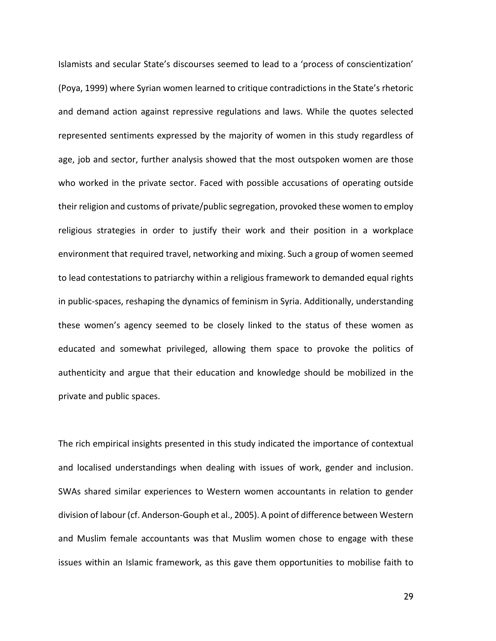Islamists and secular State's discourses seemed to lead to a 'process of conscientization' (Poya, 1999) where Syrian women learned to critique contradictions in the State's rhetoric and demand action against repressive regulations and laws. While the quotes selected represented sentiments expressed by the majority of women in this study regardless of age, job and sector, further analysis showed that the most outspoken women are those who worked in the private sector. Faced with possible accusations of operating outside their religion and customs of private/public segregation, provoked these women to employ religious strategies in order to justify their work and their position in a workplace environment that required travel, networking and mixing. Such a group of women seemed to lead contestations to patriarchy within a religious framework to demanded equal rights in public-spaces, reshaping the dynamics of feminism in Syria. Additionally, understanding these women's agency seemed to be closely linked to the status of these women as educated and somewhat privileged, allowing them space to provoke the politics of authenticity and argue that their education and knowledge should be mobilized in the private and public spaces.

The rich empirical insights presented in this study indicated the importance of contextual and localised understandings when dealing with issues of work, gender and inclusion. SWAs shared similar experiences to Western women accountants in relation to gender division of labour (cf. Anderson-Gouph et al., 2005). A point of difference between Western and Muslim female accountants was that Muslim women chose to engage with these issues within an Islamic framework, as this gave them opportunities to mobilise faith to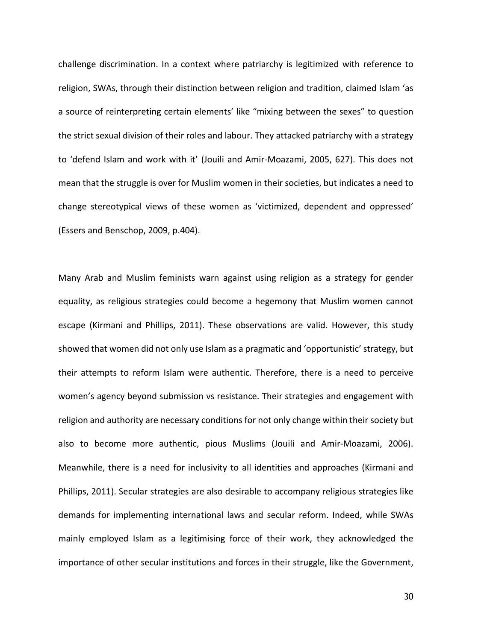challenge discrimination. In a context where patriarchy is legitimized with reference to religion, SWAs, through their distinction between religion and tradition, claimed Islam 'as a source of reinterpreting certain elements' like "mixing between the sexes" to question the strict sexual division of their roles and labour. They attacked patriarchy with a strategy to 'defend Islam and work with it' (Jouili and Amir-Moazami, 2005, 627). This does not mean that the struggle is over for Muslim women in their societies, but indicates a need to change stereotypical views of these women as 'victimized, dependent and oppressed' (Essers and Benschop, 2009, p.404).

Many Arab and Muslim feminists warn against using religion as a strategy for gender equality, as religious strategies could become a hegemony that Muslim women cannot escape (Kirmani and Phillips, 2011). These observations are valid. However, this study showed that women did not only use Islam as a pragmatic and 'opportunistic' strategy, but their attempts to reform Islam were authentic. Therefore, there is a need to perceive women's agency beyond submission vs resistance. Their strategies and engagement with religion and authority are necessary conditions for not only change within their society but also to become more authentic, pious Muslims (Jouili and Amir-Moazami, 2006). Meanwhile, there is a need for inclusivity to all identities and approaches (Kirmani and Phillips, 2011). Secular strategies are also desirable to accompany religious strategies like demands for implementing international laws and secular reform. Indeed, while SWAs mainly employed Islam as a legitimising force of their work, they acknowledged the importance of other secular institutions and forces in their struggle, like the Government,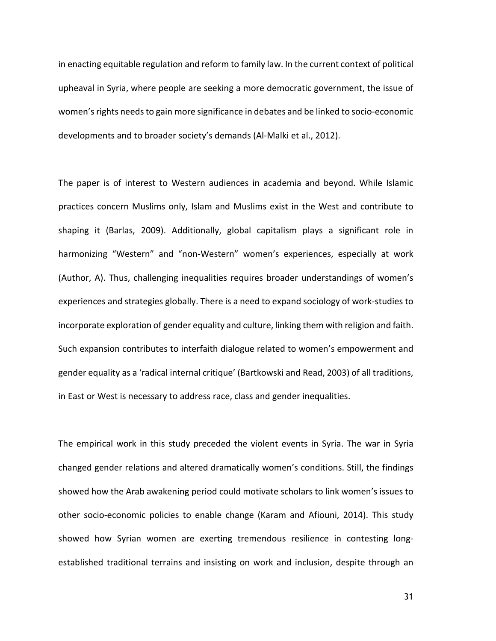in enacting equitable regulation and reform to family law. In the current context of political upheaval in Syria, where people are seeking a more democratic government, the issue of women's rights needs to gain more significance in debates and be linked to socio-economic developments and to broader society's demands (Al-Malki et al., 2012).

The paper is of interest to Western audiences in academia and beyond. While Islamic practices concern Muslims only, Islam and Muslims exist in the West and contribute to shaping it (Barlas, 2009). Additionally, global capitalism plays a significant role in harmonizing "Western" and "non-Western" women's experiences, especially at work (Author, A). Thus, challenging inequalities requires broader understandings of women's experiences and strategies globally. There is a need to expand sociology of work-studies to incorporate exploration of gender equality and culture, linking them with religion and faith. Such expansion contributes to interfaith dialogue related to women's empowerment and gender equality as a 'radical internal critique' (Bartkowski and Read, 2003) of all traditions, in East or West is necessary to address race, class and gender inequalities.

The empirical work in this study preceded the violent events in Syria. The war in Syria changed gender relations and altered dramatically women's conditions. Still, the findings showed how the Arab awakening period could motivate scholars to link women's issues to other socio-economic policies to enable change (Karam and Afiouni, 2014). This study showed how Syrian women are exerting tremendous resilience in contesting longestablished traditional terrains and insisting on work and inclusion, despite through an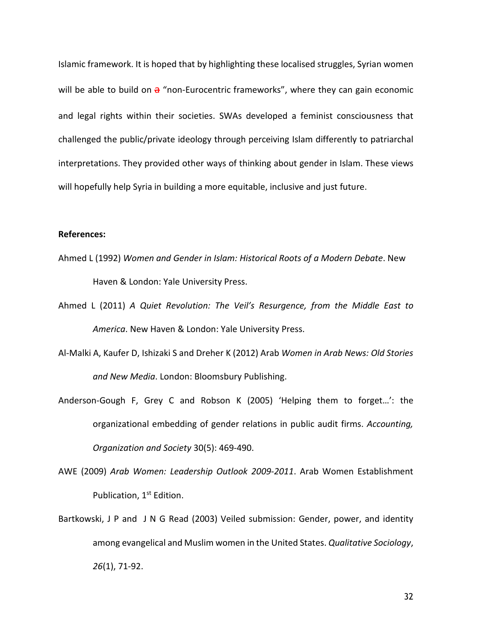Islamic framework. It is hoped that by highlighting these localised struggles, Syrian women will be able to build on  $a$  "non-Eurocentric frameworks", where they can gain economic and legal rights within their societies. SWAs developed a feminist consciousness that challenged the public/private ideology through perceiving Islam differently to patriarchal interpretations. They provided other ways of thinking about gender in Islam. These views will hopefully help Syria in building a more equitable, inclusive and just future.

### **References:**

- Ahmed L (1992) *Women and Gender in Islam: Historical Roots of a Modern Debate*. New Haven & London: Yale University Press.
- Ahmed L (2011) *A Quiet Revolution: The Veil's Resurgence, from the Middle East to America*. New Haven & London: Yale University Press.
- Al-Malki A, Kaufer D, Ishizaki S and Dreher K (2012) Arab *Women in Arab News: Old Stories and New Media*. London: Bloomsbury Publishing.
- Anderson-Gough F, Grey C and Robson K (2005) 'Helping them to forget…': the organizational embedding of gender relations in public audit firms. *Accounting, Organization and Society* 30(5): 469-490.
- AWE (2009) *Arab Women: Leadership Outlook 2009-2011*. Arab Women Establishment Publication, 1st Edition.
- Bartkowski, J P and J N G Read (2003) Veiled submission: Gender, power, and identity among evangelical and Muslim women in the United States. *Qualitative Sociology*, *26*(1), 71-92.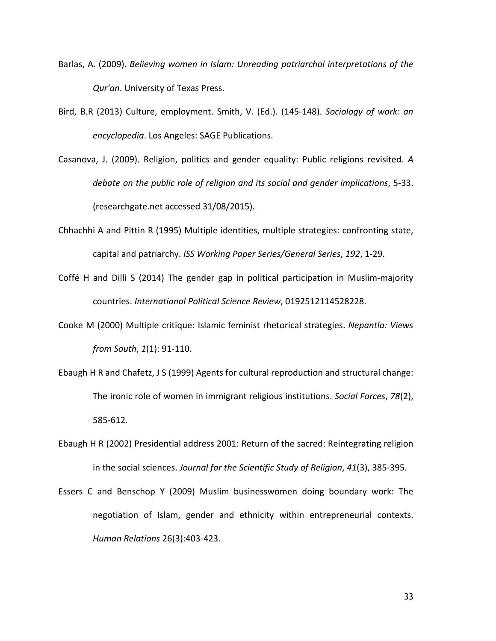- Barlas, A. (2009). *Believing women in Islam: Unreading patriarchal interpretations of the Qur'an*. University of Texas Press.
- Bird, B.R (2013) Culture, employment. Smith, V. (Ed.). (145-148). *Sociology of work: an encyclopedia*. Los Angeles: SAGE Publications.
- Casanova, J. (2009). Religion, politics and gender equality: Public religions revisited. *A debate on the public role of religion and its social and gender implications*, 5-33. (researchgate.net accessed 31/08/2015).
- Chhachhi A and Pittin R (1995) Multiple identities, multiple strategies: confronting state, capital and patriarchy. *ISS Working Paper Series/General Series*, *192*, 1-29.
- Coffé H and Dilli S (2014) The gender gap in political participation in Muslim-majority countries. *International Political Science Review*, 0192512114528228.
- Cooke M (2000) Multiple critique: Islamic feminist rhetorical strategies. *Nepantla: Views from South*, *1*(1): 91-110.
- Ebaugh H R and Chafetz, J S (1999) Agents for cultural reproduction and structural change: The ironic role of women in immigrant religious institutions. *Social Forces*, *78*(2), 585-612.
- Ebaugh H R (2002) Presidential address 2001: Return of the sacred: Reintegrating religion in the social sciences. *Journal for the Scientific Study of Religion*, *41*(3), 385-395.
- Essers C and Benschop Y (2009) Muslim businesswomen doing boundary work: The negotiation of Islam, gender and ethnicity within entrepreneurial contexts. *Human Relations* 26(3):403-423.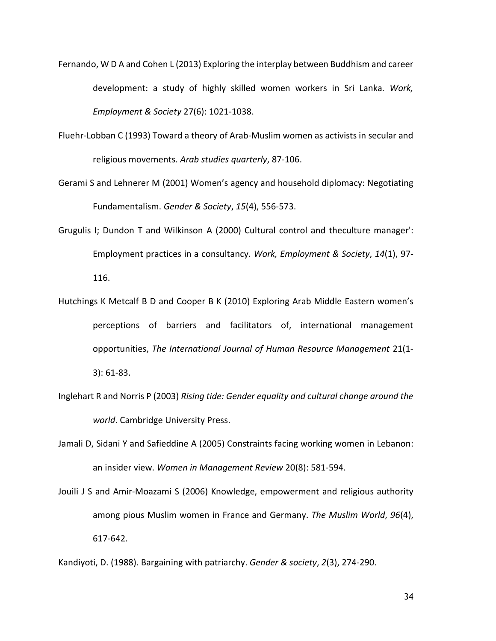- Fernando, W D A and Cohen L (2013) Exploring the interplay between Buddhism and career development: a study of highly skilled women workers in Sri Lanka. *Work, Employment & Society* 27(6): 1021-1038.
- Fluehr-Lobban C (1993) Toward a theory of Arab-Muslim women as activists in secular and religious movements. *Arab studies quarterly*, 87-106.
- Gerami S and Lehnerer M (2001) Women's agency and household diplomacy: Negotiating Fundamentalism. *Gender & Society*, *15*(4), 556-573.
- Grugulis I; Dundon T and Wilkinson A (2000) Cultural control and theculture manager': Employment practices in a consultancy. *Work, Employment & Society*, *14*(1), 97- 116.
- Hutchings K Metcalf B D and Cooper B K (2010) Exploring Arab Middle Eastern women's perceptions of barriers and facilitators of, international management opportunities, *The International Journal of Human Resource Management* 21(1- 3): 61-83.
- Inglehart R and Norris P (2003) *Rising tide: Gender equality and cultural change around the world*. Cambridge University Press.
- Jamali D, Sidani Y and Safieddine A (2005) Constraints facing working women in Lebanon: an insider view. *Women in Management Review* 20(8): 581-594.
- Jouili J S and Amir‐Moazami S (2006) Knowledge, empowerment and religious authority among pious Muslim women in France and Germany. *The Muslim World*, *96*(4), 617-642.
- Kandiyoti, D. (1988). Bargaining with patriarchy. *Gender & society*, *2*(3), 274-290.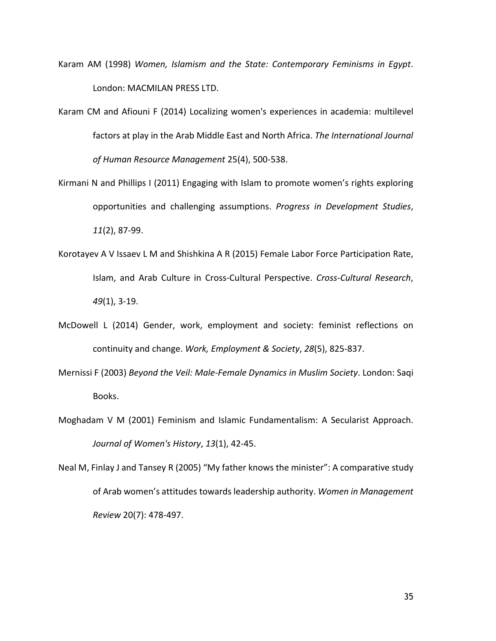- Karam AM (1998) *Women, Islamism and the State: Contemporary Feminisms in Egypt*. London: MACMILAN PRESS LTD.
- Karam CM and Afiouni F (2014) Localizing women's experiences in academia: multilevel factors at play in the Arab Middle East and North Africa. *The International Journal of Human Resource Management* 25(4), 500-538.
- Kirmani N and Phillips I (2011) Engaging with Islam to promote women's rights exploring opportunities and challenging assumptions. *Progress in Development Studies*, *11*(2), 87-99.
- Korotayev A V Issaev L M and Shishkina A R (2015) Female Labor Force Participation Rate, Islam, and Arab Culture in Cross-Cultural Perspective. *Cross-Cultural Research*, *49*(1), 3-19.
- McDowell L (2014) Gender, work, employment and society: feminist reflections on continuity and change. *Work, Employment & Society*, *28*(5), 825-837.
- Mernissi F (2003) *Beyond the Veil: Male-Female Dynamics in Muslim Society*. London: Saqi Books.
- Moghadam V M (2001) Feminism and Islamic Fundamentalism: A Secularist Approach. *Journal of Women's History*, *13*(1), 42-45.
- Neal M, Finlay J and Tansey R (2005) "My father knows the minister": A comparative study of Arab women's attitudes towards leadership authority. *Women in Management Review* 20(7): 478-497.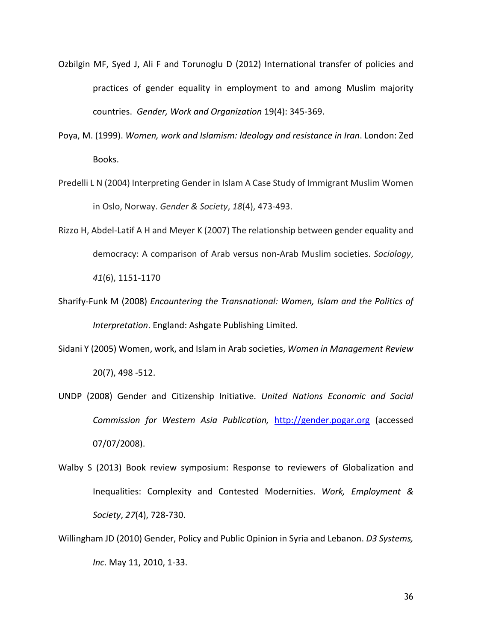- Ozbilgin MF, Syed J, Ali F and Torunoglu D (2012) International transfer of policies and practices of gender equality in employment to and among Muslim majority countries. *Gender, Work and Organization* 19(4): 345-369.
- Poya, M. (1999). *Women, work and Islamism: Ideology and resistance in Iran*. London: Zed Books.
- Predelli L N (2004) Interpreting Gender in Islam A Case Study of Immigrant Muslim Women in Oslo, Norway. *Gender & Society*, *18*(4), 473-493.
- Rizzo H, Abdel-Latif A H and Meyer K (2007) The relationship between gender equality and democracy: A comparison of Arab versus non-Arab Muslim societies. *Sociology*, *41*(6), 1151-1170
- Sharify-Funk M (2008) *Encountering the Transnational: Women, Islam and the Politics of Interpretation*. England: Ashgate Publishing Limited.
- Sidani Y (2005) Women, work, and Islam in Arab societies, *Women in Management Review* 20(7), 498 -512.
- UNDP (2008) Gender and Citizenship Initiative. *United Nations Economic and Social Commission for Western Asia Publication,* [http://gender.pogar.org](http://gender.pogar.org/) (accessed 07/07/2008).
- Walby S (2013) Book review symposium: Response to reviewers of Globalization and Inequalities: Complexity and Contested Modernities. *Work, Employment & Society*, *27*(4), 728-730.
- Willingham JD (2010) Gender, Policy and Public Opinion in Syria and Lebanon. *D3 Systems, Inc*. May 11, 2010, 1-33.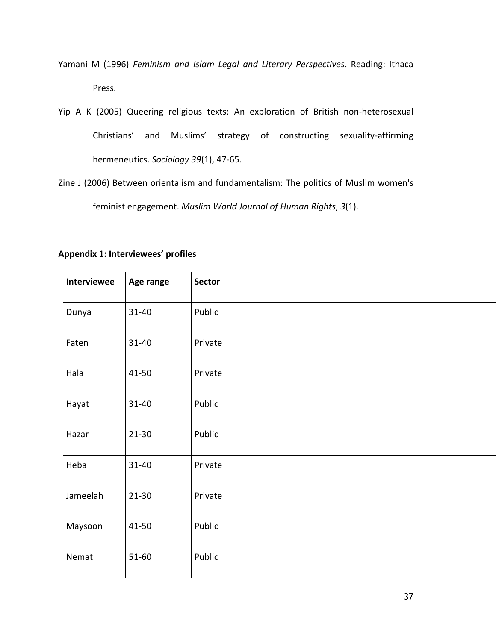- Yamani M (1996) *Feminism and Islam Legal and Literary Perspectives*. Reading: Ithaca Press.
- Yip A K (2005) Queering religious texts: An exploration of British non-heterosexual Christians' and Muslims' strategy of constructing sexuality-affirming hermeneutics. *Sociology 39*(1), 47-65.

Zine J (2006) Between orientalism and fundamentalism: The politics of Muslim women's feminist engagement. *Muslim World Journal of Human Rights*, *3*(1).

| <b>Interviewee</b> | Age range | <b>Sector</b> |
|--------------------|-----------|---------------|
| Dunya              | $31 - 40$ | Public        |
| Faten              | $31 - 40$ | Private       |
| Hala               | $41 - 50$ | Private       |
| Hayat              | $31 - 40$ | Public        |
| Hazar              | $21 - 30$ | Public        |
| Heba               | $31 - 40$ | Private       |
| Jameelah           | $21 - 30$ | Private       |
| Maysoon            | 41-50     | Public        |
| Nemat              | 51-60     | Public        |

## **Appendix 1: Interviewees' profiles**